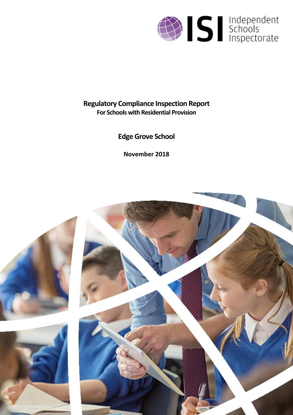

# **Regulatory Compliance Inspection Report For Schools with Residential Provision**

**Edge Grove School**

**November 2018**

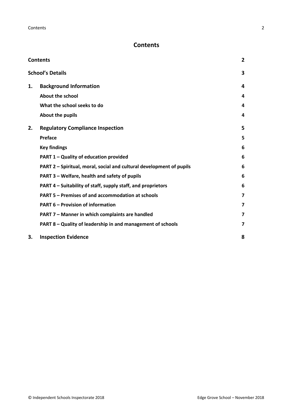# <span id="page-1-0"></span>**Contents**

| <b>Contents</b> |                                                                      |                         |
|-----------------|----------------------------------------------------------------------|-------------------------|
|                 | <b>School's Details</b>                                              | 3                       |
| 1.              | <b>Background Information</b>                                        | 4                       |
|                 | <b>About the school</b>                                              | 4                       |
|                 | What the school seeks to do                                          | 4                       |
|                 | About the pupils                                                     | 4                       |
| 2.              | <b>Regulatory Compliance Inspection</b>                              | 5                       |
|                 | Preface                                                              | 5                       |
|                 | <b>Key findings</b>                                                  | 6                       |
|                 | PART 1 - Quality of education provided                               | 6                       |
|                 | PART 2 – Spiritual, moral, social and cultural development of pupils | 6                       |
|                 | PART 3 - Welfare, health and safety of pupils                        | 6                       |
|                 | PART 4 - Suitability of staff, supply staff, and proprietors         | 6                       |
|                 | PART 5 - Premises of and accommodation at schools                    | $\overline{\mathbf{z}}$ |
|                 | <b>PART 6 - Provision of information</b>                             | $\overline{\mathbf{z}}$ |
|                 | PART 7 - Manner in which complaints are handled                      | $\overline{\mathbf{z}}$ |
|                 | PART 8 – Quality of leadership in and management of schools          | $\overline{\mathbf{z}}$ |
| 3.              | <b>Inspection Evidence</b>                                           | 8                       |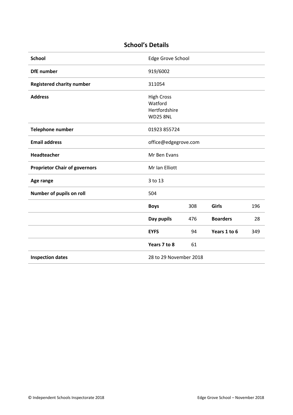# <span id="page-2-0"></span>**School's Details**

| <b>School</b>                        | Edge Grove School                                                |     |                 |     |
|--------------------------------------|------------------------------------------------------------------|-----|-----------------|-----|
| <b>DfE</b> number                    | 919/6002                                                         |     |                 |     |
| <b>Registered charity number</b>     | 311054                                                           |     |                 |     |
| <b>Address</b>                       | <b>High Cross</b><br>Watford<br>Hertfordshire<br><b>WD25 8NL</b> |     |                 |     |
| Telephone number                     | 01923 855724                                                     |     |                 |     |
| <b>Email address</b>                 | office@edgegrove.com                                             |     |                 |     |
| Headteacher                          | Mr Ben Evans                                                     |     |                 |     |
| <b>Proprietor Chair of governors</b> | Mr Ian Elliott                                                   |     |                 |     |
| Age range                            | 3 to 13                                                          |     |                 |     |
| Number of pupils on roll             | 504                                                              |     |                 |     |
|                                      | <b>Boys</b>                                                      | 308 | Girls           | 196 |
|                                      | Day pupils                                                       | 476 | <b>Boarders</b> | 28  |
|                                      | <b>EYFS</b>                                                      | 94  | Years 1 to 6    | 349 |
|                                      | Years 7 to 8                                                     | 61  |                 |     |
| <b>Inspection dates</b>              | 28 to 29 November 2018                                           |     |                 |     |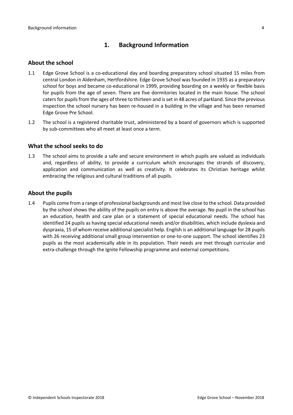# <span id="page-3-0"></span>**1. Background Information**

#### <span id="page-3-1"></span>**About the school**

- 1.1 Edge Grove School is a co-educational day and boarding preparatory school situated 15 miles from central London in Aldenham, Hertfordshire. Edge Grove School was founded in 1935 as a preparatory school for boys and became co-educational in 1999, providing boarding on a weekly or flexible basis for pupils from the age of seven. There are five dormitories located in the main house. The school caters for pupils from the ages of three to thirteen and is set in 48 acres of parkland. Since the previous inspection the school nursery has been re-housed in a building in the village and has been renamed Edge Grove Pre School.
- 1.2 The school is a registered charitable trust, administered by a board of governors which is supported by sub-committees who all meet at least once a term.

#### <span id="page-3-2"></span>**What the school seeks to do**

1.3 The school aims to provide a safe and secure environment in which pupils are valued as individuals and, regardless of ability, to provide a curriculum which encourages the strands of discovery, application and communication as well as creativity. It celebrates its Christian heritage whilst embracing the religious and cultural traditions of all pupils.

#### <span id="page-3-3"></span>**About the pupils**

1.4 Pupils come from a range of professional backgrounds and most live close to the school*.* Data provided by the school shows the ability of the pupils on entry is above the average. No pupil in the school has an education, health and care plan or a statement of special educational needs. The school has identified 24 pupils as having special educational needs and/or disabilities, which include dyslexia and dyspraxia, 15 of whom receive additional specialist help. English is an additional language for 28 pupils with 26 receiving additional small group intervention or one-to-one support. The school identifies 23 pupils as the most academically able in its population. Their needs are met through curricular and extra-challenge through the Ignite Fellowship programme and external competitions.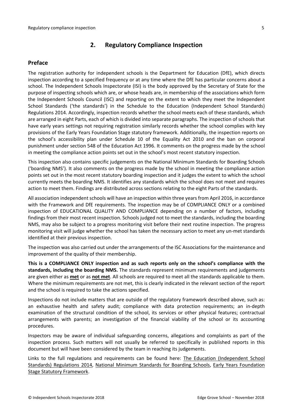# <span id="page-4-0"></span>**2. Regulatory Compliance Inspection**

## <span id="page-4-1"></span>**Preface**

The registration authority for independent schools is the Department for Education (DfE), which directs inspection according to a specified frequency or at any time where the DfE has particular concerns about a school. The Independent Schools Inspectorate (ISI) is the body approved by the Secretary of State for the purpose of inspecting schools which are, or whose heads are, in membership of the associations which form the Independent Schools Council (ISC) and reporting on the extent to which they meet the Independent School Standards ('the standards') in the Schedule to the Education (Independent School Standards) Regulations 2014. Accordingly, inspection records whether the school meets each of these standards, which are arranged in eight Parts, each of which is divided into separate paragraphs. The inspection of schools that have early years settings not requiring registration similarly records whether the school complies with key provisions of the Early Years Foundation Stage statutory framework. Additionally, the inspection reports on the school's accessibility plan under Schedule 10 of the Equality Act 2010 and the ban on corporal punishment under section 548 of the Education Act 1996. It comments on the progress made by the school in meeting the compliance action points set out in the school's most recent statutory inspection.

This inspection also contains specific judgements on the National Minimum Standards for Boarding Schools ('boarding NMS'). It also comments on the progress made by the school in meeting the compliance action points set out in the most recent statutory boarding inspection and it judges the extent to which the school currently meets the boarding NMS. It identifies any standards which the school does not meet and requires action to meet them. Findings are distributed across sections relating to the eight Parts of the standards.

All association independent schools will have an inspection within three years from April 2016, in accordance with the Framework and DfE requirements. The inspection may be of COMPLIANCE ONLY or a combined inspection of EDUCATIONAL QUALITY AND COMPLIANCE depending on a number of factors, including findings from their most recent inspection. Schools judged not to meet the standards, including the boarding NMS, may also be subject to a progress monitoring visit before their next routine inspection. The progress monitoring visit will judge whether the school has taken the necessary action to meet any un-met standards identified at their previous inspection.

The inspection was also carried out under the arrangements of the ISC Associations for the maintenance and improvement of the quality of their membership.

**This is a COMPLIANCE ONLY inspection and as such reports only on the school's compliance with the standards, including the boarding NMS.** The standards represent minimum requirements and judgements are given either as **met** or as **not met**. All schools are required to meet all the standards applicable to them. Where the minimum requirements are not met, this is clearly indicated in the relevant section of the report and the school is required to take the actions specified.

Inspections do not include matters that are outside of the regulatory framework described above, such as: an exhaustive health and safety audit; compliance with data protection requirements; an in-depth examination of the structural condition of the school, its services or other physical features; contractual arrangements with parents; an investigation of the financial viability of the school or its accounting procedures.

Inspectors may be aware of individual safeguarding concerns, allegations and complaints as part of the inspection process. Such matters will not usually be referred to specifically in published reports in this document but will have been considered by the team in reaching its judgements.

Links to the full regulations and requirements can be found here: The Education [\(Independent](http://www.legislation.gov.uk/uksi/2014/3283/contents/made) School Standards) [Regulations](http://www.legislation.gov.uk/uksi/2014/3283/contents/made) 2014, National Minimum [Standards](https://www.gov.uk/government/uploads/system/uploads/attachment_data/file/416186/20150319_nms_bs_standards.pdf) for Boarding Schools, Early Years [Foundation](https://www.gov.uk/government/publications/early-years-foundation-stage-framework--2) Stage Statutory [Framework.](https://www.gov.uk/government/publications/early-years-foundation-stage-framework--2)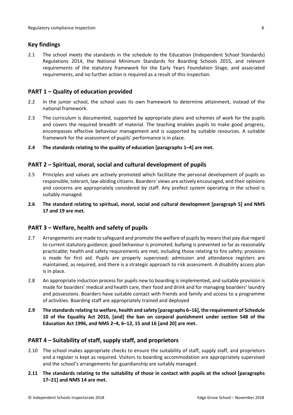## <span id="page-5-0"></span>**Key findings**

2.1 The school meets the standards in the schedule to the Education (Independent School Standards) Regulations 2014, the National Minimum Standards for Boarding Schools 2015, and relevant requirements of the statutory framework for the Early Years Foundation Stage, and associated requirements, and no further action is required as a result of this inspection.

# <span id="page-5-1"></span>**PART 1 – Quality of education provided**

- 2.2 In the junior school, the school uses its own framework to determine attainment, instead of the national framework.
- 2.3 The curriculum is documented, supported by appropriate plans and schemes of work for the pupils and covers the required breadth of material. The teaching enables pupils to make good progress, encompasses effective behaviour management and is supported by suitable resources. A suitable framework for the assessment of pupils' performance is in place.
- **2.4 The standards relating to the quality of education [paragraphs 1–4] are met.**

## <span id="page-5-2"></span>**PART 2 – Spiritual, moral, social and cultural development of pupils**

- 2.5 Principles and values are actively promoted which facilitate the personal development of pupils as responsible, tolerant, law-abiding citizens. Boarders' views are actively encouraged, and their opinions and concerns are appropriately considered by staff. Any prefect system operating in the school is suitably managed.
- **2.6 The standard relating to spiritual, moral, social and cultural development [paragraph 5] and NMS 17 and 19 are met.**

## <span id="page-5-3"></span>**PART 3 – Welfare, health and safety of pupils**

- 2.7 Arrangements are made to safeguard and promote the welfare of pupils by means that pay due regard to current statutory guidance; good behaviour is promoted; bullying is prevented so far as reasonably practicable; health and safety requirements are met, including those relating to fire safety; provision is made for first aid. Pupils are properly supervised; admission and attendance registers are maintained, as required, and there is a strategic approach to risk assessment. A disability access plan is in place.
- 2.8 An appropriate induction process for pupils new to boarding is implemented, and suitable provision is made for boarders' medical and health care, their food and drink and for managing boarders' laundry and possessions. Boarders have suitable contact with friends and family and access to a programme of activities. Boarding staff are appropriately trained and deployed
- **2.9 The standardsrelating to welfare, health and safety [paragraphs 6–16], the requirement of Schedule 10 of the Equality Act 2010, [and] the ban on corporal punishment under section 548 of the Education Act 1996, and NMS 2–4, 6–12, 15 and 16 [and 20] are met.**

## <span id="page-5-4"></span>**PART 4 – Suitability of staff, supply staff, and proprietors**

- 2.10 The school makes appropriate checks to ensure the suitability of staff, supply staff, and proprietors and a register is kept as required. Visitors to boarding accommodation are appropriately supervised and the school's arrangements for guardianship are suitably managed.
- **2.11 The standards relating to the suitability of those in contact with pupils at the school [paragraphs 17–21] and NMS 14 are met.**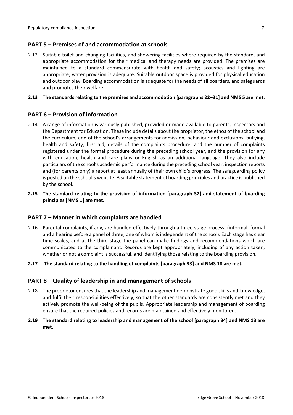## <span id="page-6-0"></span>**PART 5 – Premises of and accommodation at schools**

2.12 Suitable toilet and changing facilities, and showering facilities where required by the standard, and appropriate accommodation for their medical and therapy needs are provided. The premises are maintained to a standard commensurate with health and safety; acoustics and lighting are appropriate; water provision is adequate. Suitable outdoor space is provided for physical education and outdoor play. Boarding accommodation is adequate for the needs of all boarders, and safeguards and promotes their welfare.

#### **2.13 The standardsrelating to the premises and accommodation [paragraphs 22–31] and NMS 5 are met.**

## <span id="page-6-1"></span>**PART 6 – Provision of information**

- 2.14 A range of information is variously published, provided or made available to parents, inspectors and the Department for Education. These include details about the proprietor, the ethos of the school and the curriculum, and of the school's arrangements for admission, behaviour and exclusions, bullying, health and safety, first aid, details of the complaints procedure, and the number of complaints registered under the formal procedure during the preceding school year, and the provision for any with education, health and care plans or English as an additional language. They also include particulars of the school's academic performance during the preceding school year, inspection reports and (for parents only) a report at least annually of their own child's progress. The safeguarding policy is posted on the school's website. A suitable statement of boarding principles and practice is published by the school.
- **2.15 The standard relating to the provision of information [paragraph 32] and statement of boarding principles [NMS 1] are met.**

## <span id="page-6-2"></span>**PART 7 – Manner in which complaints are handled**

2.16 Parental complaints, if any, are handled effectively through a three-stage process, (informal, formal and a hearing before a panel of three, one of whom is independent of the school). Each stage has clear time scales, and at the third stage the panel can make findings and recommendations which are communicated to the complainant. Records are kept appropriately, including of any action taken, whether or not a complaint is successful, and identifying those relating to the boarding provision.

#### **2.17 The standard relating to the handling of complaints [paragraph 33] and NMS 18 are met.**

## <span id="page-6-3"></span>**PART 8 – Quality of leadership in and management of schools**

2.18 The proprietor ensures that the leadership and management demonstrate good skills and knowledge, and fulfil their responsibilities effectively, so that the other standards are consistently met and they actively promote the well-being of the pupils. Appropriate leadership and management of boarding ensure that the required policies and records are maintained and effectively monitored.

#### **2.19 The standard relating to leadership and management of the school [paragraph 34] and NMS 13 are met.**